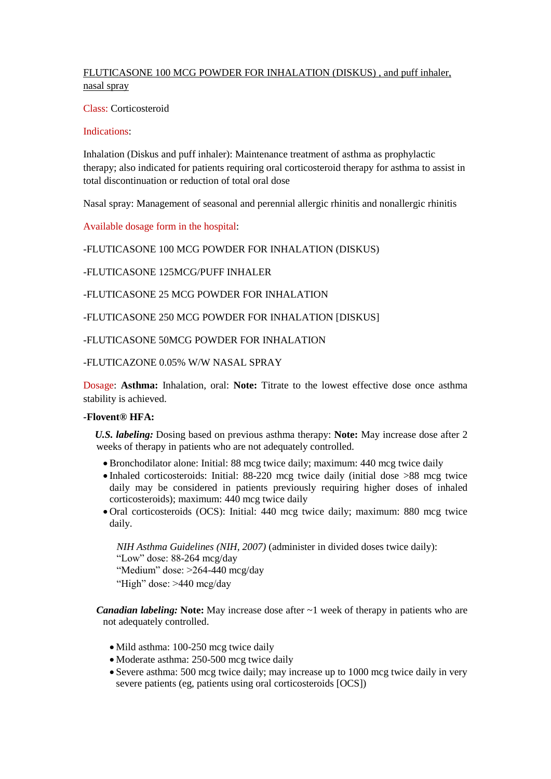# FLUTICASONE 100 MCG POWDER FOR INHALATION (DISKUS) , and puff inhaler, nasal spray

Class: Corticosteroid

#### Indications:

Inhalation (Diskus and puff inhaler): Maintenance treatment of asthma as prophylactic therapy; also indicated for patients requiring oral corticosteroid therapy for asthma to assist in total discontinuation or reduction of total oral dose

Nasal spray: Management of seasonal and perennial allergic rhinitis and nonallergic rhinitis

Available dosage form in the hospital:

## -FLUTICASONE 100 MCG POWDER FOR INHALATION (DISKUS)

-FLUTICASONE 125MCG/PUFF INHALER

-FLUTICASONE 25 MCG POWDER FOR INHALATION

-FLUTICASONE 250 MCG POWDER FOR INHALATION [DISKUS]

-FLUTICASONE 50MCG POWDER FOR INHALATION

-FLUTICAZONE 0.05% W/W NASAL SPRAY

Dosage: **Asthma:** Inhalation, oral: **Note:** Titrate to the lowest effective dose once asthma stability is achieved.

## **-Flovent® HFA:**

 *U.S. labeling:* Dosing based on previous asthma therapy: **Note:** May increase dose after 2 weeks of therapy in patients who are not adequately controlled.

- Bronchodilator alone: Initial: 88 mcg twice daily; maximum: 440 mcg twice daily
- Inhaled corticosteroids: Initial: 88-220 mcg twice daily (initial dose >88 mcg twice daily may be considered in patients previously requiring higher doses of inhaled corticosteroids); maximum: 440 mcg twice daily
- Oral corticosteroids (OCS): Initial: 440 mcg twice daily; maximum: 880 mcg twice daily.

*NIH Asthma Guidelines (NIH, 2007)* (administer in divided doses twice daily): "Low" dose: 88-264 mcg/day "Medium" dose: >264-440 mcg/day "High" dose: >440 mcg/day

*Canadian labeling:* **Note:** May increase dose after ~1 week of therapy in patients who are not adequately controlled.

- Mild asthma: 100-250 mcg twice daily
- Moderate asthma: 250-500 mcg twice daily
- Severe asthma: 500 mcg twice daily; may increase up to 1000 mcg twice daily in very severe patients (eg, patients using oral corticosteroids [OCS])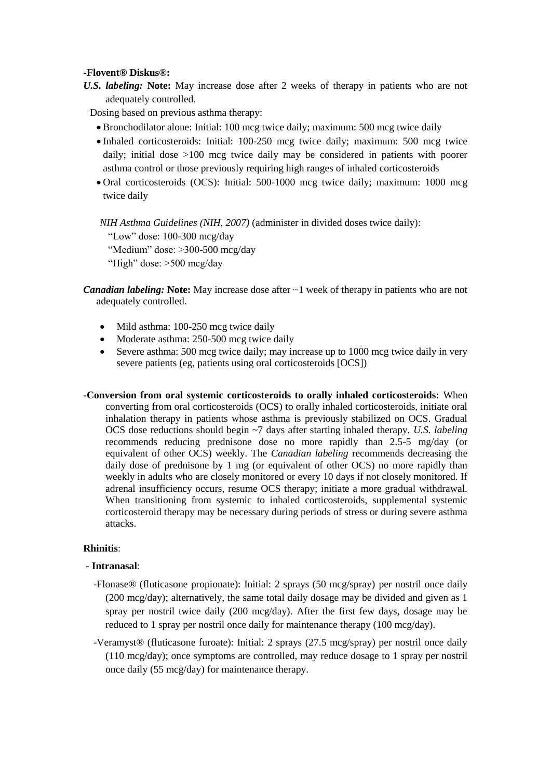#### **-Flovent® Diskus®:**

*U.S. labeling:* **Note:** May increase dose after 2 weeks of therapy in patients who are not adequately controlled.

Dosing based on previous asthma therapy:

- Bronchodilator alone: Initial: 100 mcg twice daily; maximum: 500 mcg twice daily
- Inhaled corticosteroids: Initial: 100-250 mcg twice daily; maximum: 500 mcg twice daily; initial dose >100 mcg twice daily may be considered in patients with poorer asthma control or those previously requiring high ranges of inhaled corticosteroids
- Oral corticosteroids (OCS): Initial: 500-1000 mcg twice daily; maximum: 1000 mcg twice daily

*NIH Asthma Guidelines (NIH, 2007)* (administer in divided doses twice daily): "Low" dose: 100-300 mcg/day "Medium" dose: >300-500 mcg/day "High" dose: >500 mcg/day

- *Canadian labeling:* **Note:** May increase dose after ~1 week of therapy in patients who are not adequately controlled.
	- Mild asthma: 100-250 mcg twice daily
	- Moderate asthma: 250-500 mcg twice daily
	- Severe asthma: 500 mcg twice daily; may increase up to 1000 mcg twice daily in very severe patients (eg, patients using oral corticosteroids [OCS])
- **-Conversion from oral systemic corticosteroids to orally inhaled corticosteroids:** When converting from oral corticosteroids (OCS) to orally inhaled corticosteroids, initiate oral inhalation therapy in patients whose asthma is previously stabilized on OCS. Gradual OCS dose reductions should begin ~7 days after starting inhaled therapy. *U.S. labeling* recommends reducing prednisone dose no more rapidly than 2.5-5 mg/day (or equivalent of other OCS) weekly. The *Canadian labeling* recommends decreasing the daily dose of prednisone by 1 mg (or equivalent of other OCS) no more rapidly than weekly in adults who are closely monitored or every 10 days if not closely monitored. If adrenal insufficiency occurs, resume OCS therapy; initiate a more gradual withdrawal. When transitioning from systemic to inhaled corticosteroids, supplemental systemic corticosteroid therapy may be necessary during periods of stress or during severe asthma attacks.

## **Rhinitis**:

## **- Intranasal**:

- -Flonase® (fluticasone propionate): Initial: 2 sprays (50 mcg/spray) per nostril once daily (200 mcg/day); alternatively, the same total daily dosage may be divided and given as 1 spray per nostril twice daily (200 mcg/day). After the first few days, dosage may be reduced to 1 spray per nostril once daily for maintenance therapy (100 mcg/day).
- -Veramyst® (fluticasone furoate): Initial: 2 sprays (27.5 mcg/spray) per nostril once daily (110 mcg/day); once symptoms are controlled, may reduce dosage to 1 spray per nostril once daily (55 mcg/day) for maintenance therapy.